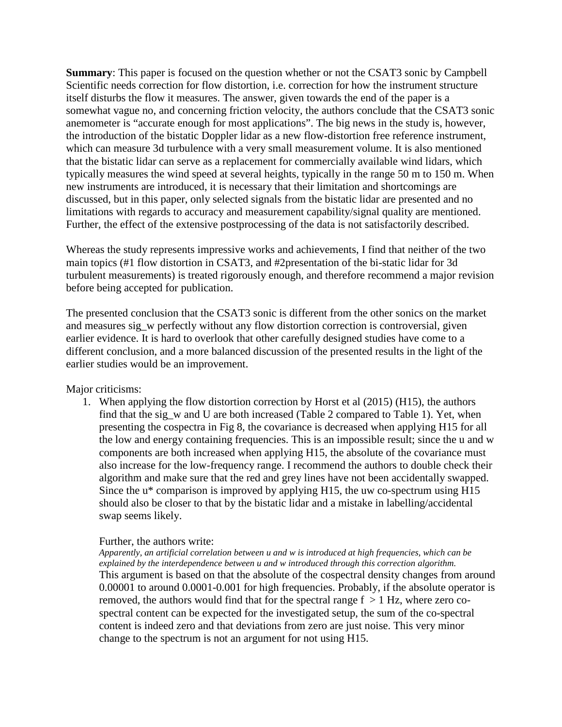**Summary**: This paper is focused on the question whether or not the CSAT3 sonic by Campbell Scientific needs correction for flow distortion, i.e. correction for how the instrument structure itself disturbs the flow it measures. The answer, given towards the end of the paper is a somewhat vague no, and concerning friction velocity, the authors conclude that the CSAT3 sonic anemometer is "accurate enough for most applications". The big news in the study is, however, the introduction of the bistatic Doppler lidar as a new flow-distortion free reference instrument, which can measure 3d turbulence with a very small measurement volume. It is also mentioned that the bistatic lidar can serve as a replacement for commercially available wind lidars, which typically measures the wind speed at several heights, typically in the range 50 m to 150 m. When new instruments are introduced, it is necessary that their limitation and shortcomings are discussed, but in this paper, only selected signals from the bistatic lidar are presented and no limitations with regards to accuracy and measurement capability/signal quality are mentioned. Further, the effect of the extensive postprocessing of the data is not satisfactorily described.

Whereas the study represents impressive works and achievements, I find that neither of the two main topics (#1 flow distortion in CSAT3, and #2presentation of the bi-static lidar for 3d turbulent measurements) is treated rigorously enough, and therefore recommend a major revision before being accepted for publication.

The presented conclusion that the CSAT3 sonic is different from the other sonics on the market and measures sig\_w perfectly without any flow distortion correction is controversial, given earlier evidence. It is hard to overlook that other carefully designed studies have come to a different conclusion, and a more balanced discussion of the presented results in the light of the earlier studies would be an improvement.

Major criticisms:

1. When applying the flow distortion correction by Horst et al (2015) (H15), the authors find that the sig\_w and U are both increased (Table 2 compared to Table 1). Yet, when presenting the cospectra in Fig 8, the covariance is decreased when applying H15 for all the low and energy containing frequencies. This is an impossible result; since the u and w components are both increased when applying H15, the absolute of the covariance must also increase for the low-frequency range. I recommend the authors to double check their algorithm and make sure that the red and grey lines have not been accidentally swapped. Since the u\* comparison is improved by applying H15, the uw co-spectrum using H15 should also be closer to that by the bistatic lidar and a mistake in labelling/accidental swap seems likely.

## Further, the authors write:

*Apparently, an artificial correlation between u and w is introduced at high frequencies, which can be explained by the interdependence between u and w introduced through this correction algorithm.* This argument is based on that the absolute of the cospectral density changes from around 0.00001 to around 0.0001-0.001 for high frequencies. Probably, if the absolute operator is removed, the authors would find that for the spectral range  $f > 1$  Hz, where zero cospectral content can be expected for the investigated setup, the sum of the co-spectral content is indeed zero and that deviations from zero are just noise. This very minor change to the spectrum is not an argument for not using H15.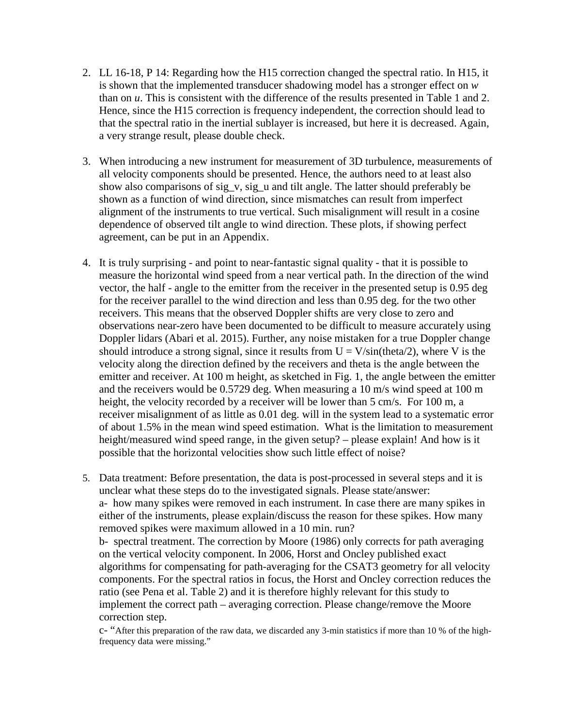- 2. LL 16-18, P 14: Regarding how the H15 correction changed the spectral ratio. In H15, it is shown that the implemented transducer shadowing model has a stronger effect on *w* than on *u*. This is consistent with the difference of the results presented in Table 1 and 2. Hence, since the H15 correction is frequency independent, the correction should lead to that the spectral ratio in the inertial sublayer is increased, but here it is decreased. Again, a very strange result, please double check.
- 3. When introducing a new instrument for measurement of 3D turbulence, measurements of all velocity components should be presented. Hence, the authors need to at least also show also comparisons of sig\_v, sig\_u and tilt angle. The latter should preferably be shown as a function of wind direction, since mismatches can result from imperfect alignment of the instruments to true vertical. Such misalignment will result in a cosine dependence of observed tilt angle to wind direction. These plots, if showing perfect agreement, can be put in an Appendix.
- 4. It is truly surprising and point to near-fantastic signal quality that it is possible to measure the horizontal wind speed from a near vertical path. In the direction of the wind vector, the half - angle to the emitter from the receiver in the presented setup is 0.95 deg for the receiver parallel to the wind direction and less than 0.95 deg. for the two other receivers. This means that the observed Doppler shifts are very close to zero and observations near-zero have been documented to be difficult to measure accurately using Doppler lidars (Abari et al. 2015). Further, any noise mistaken for a true Doppler change should introduce a strong signal, since it results from  $U = V/sin(theta/2)$ , where V is the velocity along the direction defined by the receivers and theta is the angle between the emitter and receiver. At 100 m height, as sketched in Fig. 1, the angle between the emitter and the receivers would be 0.5729 deg. When measuring a 10 m/s wind speed at 100 m height, the velocity recorded by a receiver will be lower than 5 cm/s. For 100 m, a receiver misalignment of as little as 0.01 deg. will in the system lead to a systematic error of about 1.5% in the mean wind speed estimation. What is the limitation to measurement height/measured wind speed range, in the given setup? – please explain! And how is it possible that the horizontal velocities show such little effect of noise?
- 5. Data treatment: Before presentation, the data is post-processed in several steps and it is unclear what these steps do to the investigated signals. Please state/answer: a- how many spikes were removed in each instrument. In case there are many spikes in either of the instruments, please explain/discuss the reason for these spikes. How many removed spikes were maximum allowed in a 10 min. run? b- spectral treatment. The correction by Moore (1986) only corrects for path averaging on the vertical velocity component. In 2006, Horst and Oncley published exact algorithms for compensating for path-averaging for the CSAT3 geometry for all velocity components. For the spectral ratios in focus, the Horst and Oncley correction reduces the ratio (see Pena et al. Table 2) and it is therefore highly relevant for this study to implement the correct path – averaging correction. Please change/remove the Moore correction step.

c- "After this preparation of the raw data, we discarded any 3-min statistics if more than 10 % of the highfrequency data were missing."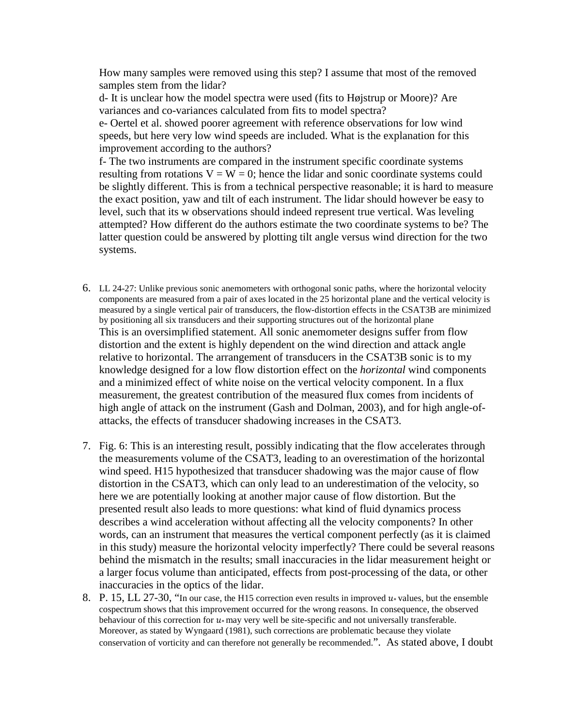How many samples were removed using this step? I assume that most of the removed samples stem from the lidar?

d- It is unclear how the model spectra were used (fits to Højstrup or Moore)? Are variances and co-variances calculated from fits to model spectra?

e- Oertel et al. showed poorer agreement with reference observations for low wind speeds, but here very low wind speeds are included. What is the explanation for this improvement according to the authors?

f- The two instruments are compared in the instrument specific coordinate systems resulting from rotations  $V = W = 0$ ; hence the lidar and sonic coordinate systems could be slightly different. This is from a technical perspective reasonable; it is hard to measure the exact position, yaw and tilt of each instrument. The lidar should however be easy to level, such that its w observations should indeed represent true vertical. Was leveling attempted? How different do the authors estimate the two coordinate systems to be? The latter question could be answered by plotting tilt angle versus wind direction for the two systems.

- 6. LL 24-27: Unlike previous sonic anemometers with orthogonal sonic paths, where the horizontal velocity components are measured from a pair of axes located in the 25 horizontal plane and the vertical velocity is measured by a single vertical pair of transducers, the flow-distortion effects in the CSAT3B are minimized by positioning all six transducers and their supporting structures out of the horizontal plane This is an oversimplified statement. All sonic anemometer designs suffer from flow distortion and the extent is highly dependent on the wind direction and attack angle relative to horizontal. The arrangement of transducers in the CSAT3B sonic is to my knowledge designed for a low flow distortion effect on the *horizontal* wind components and a minimized effect of white noise on the vertical velocity component. In a flux measurement, the greatest contribution of the measured flux comes from incidents of high angle of attack on the instrument (Gash and Dolman, 2003), and for high angle-ofattacks, the effects of transducer shadowing increases in the CSAT3.
- 7. Fig. 6: This is an interesting result, possibly indicating that the flow accelerates through the measurements volume of the CSAT3, leading to an overestimation of the horizontal wind speed. H15 hypothesized that transducer shadowing was the major cause of flow distortion in the CSAT3, which can only lead to an underestimation of the velocity, so here we are potentially looking at another major cause of flow distortion. But the presented result also leads to more questions: what kind of fluid dynamics process describes a wind acceleration without affecting all the velocity components? In other words, can an instrument that measures the vertical component perfectly (as it is claimed in this study) measure the horizontal velocity imperfectly? There could be several reasons behind the mismatch in the results; small inaccuracies in the lidar measurement height or a larger focus volume than anticipated, effects from post-processing of the data, or other inaccuracies in the optics of the lidar.
- 8. P. 15, LL 27-30, "In our case, the H15 correction even results in improved  $u_*$  values, but the ensemble cospectrum shows that this improvement occurred for the wrong reasons. In consequence, the observed behaviour of this correction for  $u$ <sup>\*</sup> may very well be site-specific and not universally transferable. Moreover, as stated by Wyngaard (1981), such corrections are problematic because they violate conservation of vorticity and can therefore not generally be recommended.". As stated above, I doubt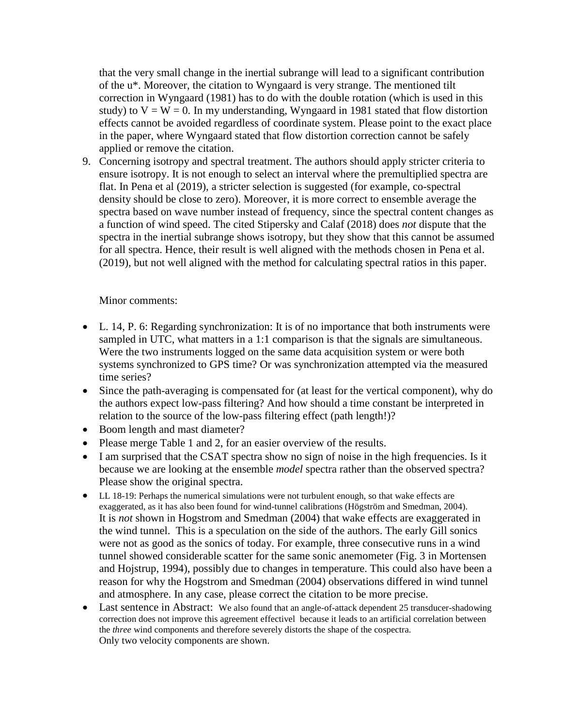that the very small change in the inertial subrange will lead to a significant contribution of the u\*. Moreover, the citation to Wyngaard is very strange. The mentioned tilt correction in Wyngaard (1981) has to do with the double rotation (which is used in this study) to  $V = W = 0$ . In my understanding, Wyngaard in 1981 stated that flow distortion effects cannot be avoided regardless of coordinate system. Please point to the exact place in the paper, where Wyngaard stated that flow distortion correction cannot be safely applied or remove the citation.

9. Concerning isotropy and spectral treatment. The authors should apply stricter criteria to ensure isotropy. It is not enough to select an interval where the premultiplied spectra are flat. In Pena et al (2019), a stricter selection is suggested (for example, co-spectral density should be close to zero). Moreover, it is more correct to ensemble average the spectra based on wave number instead of frequency, since the spectral content changes as a function of wind speed. The cited Stipersky and Calaf (2018) does *not* dispute that the spectra in the inertial subrange shows isotropy, but they show that this cannot be assumed for all spectra. Hence, their result is well aligned with the methods chosen in Pena et al. (2019), but not well aligned with the method for calculating spectral ratios in this paper.

## Minor comments:

- L. 14, P. 6: Regarding synchronization: It is of no importance that both instruments were sampled in UTC, what matters in a 1:1 comparison is that the signals are simultaneous. Were the two instruments logged on the same data acquisition system or were both systems synchronized to GPS time? Or was synchronization attempted via the measured time series?
- Since the path-averaging is compensated for (at least for the vertical component), why do the authors expect low-pass filtering? And how should a time constant be interpreted in relation to the source of the low-pass filtering effect (path length!)?
- Boom length and mast diameter?
- Please merge Table 1 and 2, for an easier overview of the results.
- I am surprised that the CSAT spectra show no sign of noise in the high frequencies. Is it because we are looking at the ensemble *model* spectra rather than the observed spectra? Please show the original spectra.
- LL 18-19: Perhaps the numerical simulations were not turbulent enough, so that wake effects are exaggerated, as it has also been found for wind-tunnel calibrations (Högström and Smedman, 2004). It is *not* shown in Hogstrom and Smedman (2004) that wake effects are exaggerated in the wind tunnel. This is a speculation on the side of the authors. The early Gill sonics were not as good as the sonics of today. For example, three consecutive runs in a wind tunnel showed considerable scatter for the same sonic anemometer (Fig. 3 in Mortensen and Hojstrup, 1994), possibly due to changes in temperature. This could also have been a reason for why the Hogstrom and Smedman (2004) observations differed in wind tunnel and atmosphere. In any case, please correct the citation to be more precise.
- Last sentence in Abstract: We also found that an angle-of-attack dependent 25 transducer-shadowing correction does not improve this agreement effectivel because it leads to an artificial correlation between the *three* wind components and therefore severely distorts the shape of the cospectra. Only two velocity components are shown.